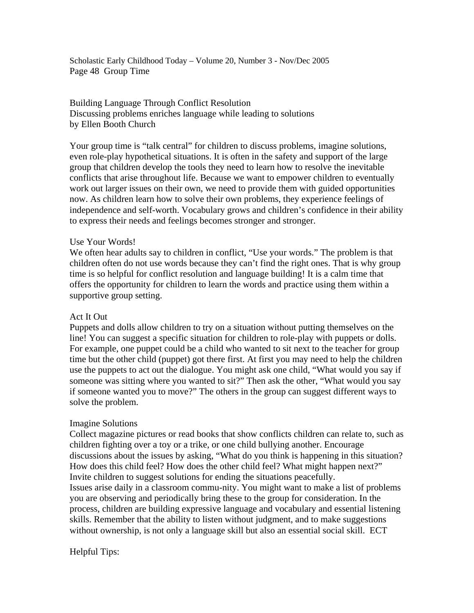Scholastic Early Childhood Today – Volume 20, Number 3 - Nov/Dec 2005 Page 48 Group Time

## Building Language Through Conflict Resolution Discussing problems enriches language while leading to solutions by Ellen Booth Church

Your group time is "talk central" for children to discuss problems, imagine solutions, even role-play hypothetical situations. It is often in the safety and support of the large group that children develop the tools they need to learn how to resolve the inevitable conflicts that arise throughout life. Because we want to empower children to eventually work out larger issues on their own, we need to provide them with guided opportunities now. As children learn how to solve their own problems, they experience feelings of independence and self-worth. Vocabulary grows and children's confidence in their ability to express their needs and feelings becomes stronger and stronger.

### Use Your Words!

We often hear adults say to children in conflict, "Use your words." The problem is that children often do not use words because they can't find the right ones. That is why group time is so helpful for conflict resolution and language building! It is a calm time that offers the opportunity for children to learn the words and practice using them within a supportive group setting.

### Act It Out

Puppets and dolls allow children to try on a situation without putting themselves on the line! You can suggest a specific situation for children to role-play with puppets or dolls. For example, one puppet could be a child who wanted to sit next to the teacher for group time but the other child (puppet) got there first. At first you may need to help the children use the puppets to act out the dialogue. You might ask one child, "What would you say if someone was sitting where you wanted to sit?" Then ask the other, "What would you say if someone wanted you to move?" The others in the group can suggest different ways to solve the problem.

### Imagine Solutions

Collect magazine pictures or read books that show conflicts children can relate to, such as children fighting over a toy or a trike, or one child bullying another. Encourage discussions about the issues by asking, "What do you think is happening in this situation? How does this child feel? How does the other child feel? What might happen next?" Invite children to suggest solutions for ending the situations peacefully. Issues arise daily in a classroom commu-nity. You might want to make a list of problems you are observing and periodically bring these to the group for consideration. In the process, children are building expressive language and vocabulary and essential listening skills. Remember that the ability to listen without judgment, and to make suggestions without ownership, is not only a language skill but also an essential social skill. ECT

# Helpful Tips: